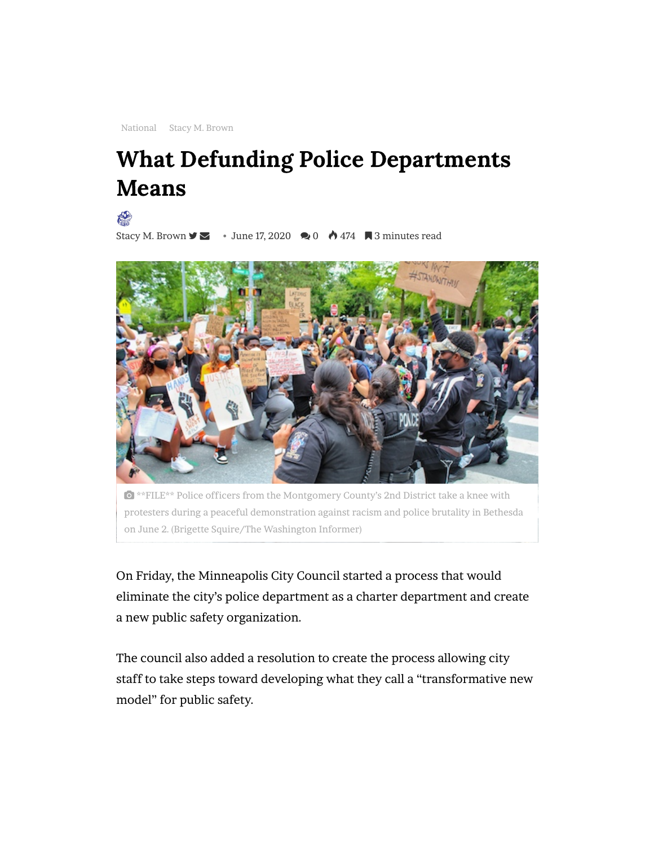[National](https://www.washingtoninformer.com/category/national-news/) [Stacy M. Brown](https://www.washingtoninformer.com/category/columnists/stacy-m-brown/)

## What Defunding Police Departments Means

RO

[Stacy M. Brown](https://www.washingtoninformer.com/author/staceybrown/)  $\blacktriangleright$   $\blacktriangleright$  June 17, 2020  $\blacktriangleright$  0  $\blacklozenge$  474  $\blacktriangleright$  3 minutes read



 \*\*FILE\*\* Police officers from the Montgomery County's 2nd District take a knee with protesters during a peaceful demonstration against racism and police brutality in Bethesda on June 2. (Brigette Squire/The Washington Informer)

On Friday, the Minneapolis City Council started a process that would [eliminate the city's police department as a charter department and create](https://servedbyadbutler.com/redirect.spark?MID=168170&plid=1437640&setID=329908&channelID=11120&CID=516710&banID=520358532&PID=0&textadID=0&tc=1&mt=1616209955214851&spr=1&hc=5ddff3f33dbbe83c6693d4b442ee87ec246d7540&location=) a new public safety organization.

The council also added a resolution to create the process allowing city staff to take steps toward developing what they call a "transformative new model" for public safety.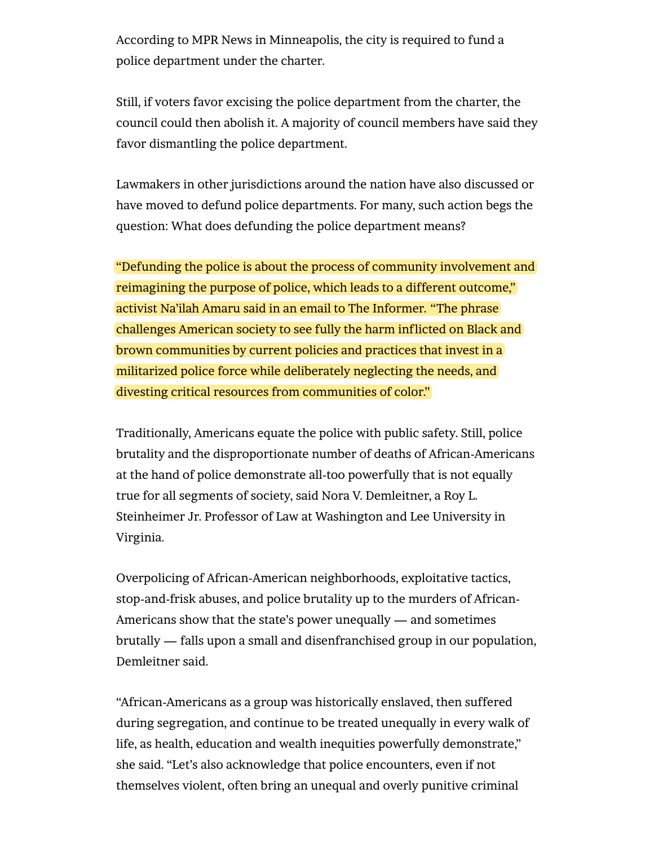According to MPR News in Minneapolis, the city is required to fund a police department under the charter.

Still, if voters favor excising the police department from the charter, the council could then abolish it. A majority of council members have said they favor dismantling the police department.

Lawmakers in other jurisdictions around the nation have also discussed or have moved to defund police departments. For many, such action begs the question: What does defunding the police department means?

"Defunding the police is about the process of community involvement and reimagining the purpose of police, which leads to a different outcome," activist Na'ilah Amaru said in an email to The Informer. "The phrase challenges American society to see fully the harm inflicted on Black and brown communities by current policies and practices that invest in a militarized police force while deliberately neglecting the needs, and divesting critical resources from communities of color. "

Traditionally, Americans equate the police with public safety. Still, police brutality and the disproportionate number of deaths of African-Americans at the hand of police demonstrate all-too powerfully that is not equally true for all segments of society, said Nora V. Demleitner, a Roy L. Steinheimer Jr. Professor of Law at Washington and Lee University in Virginia.

Overpolicing of African-American neighborhoods, exploitative tactics, stop-and-frisk abuses, and police brutality up to the murders of African-Americans show that the state's power unequally — and sometimes brutally — falls upon a small and disenfranchised group in our population, Demleitner said.

"African-Americans as a group was historically enslaved, then suffered during segregation, and continue to be treated unequally in every walk of life, as health, education and wealth inequities powerfully demonstrate," she said. "Let's also acknowledge that police encounters, even if not themselves violent, often bring an unequal and overly punitive criminal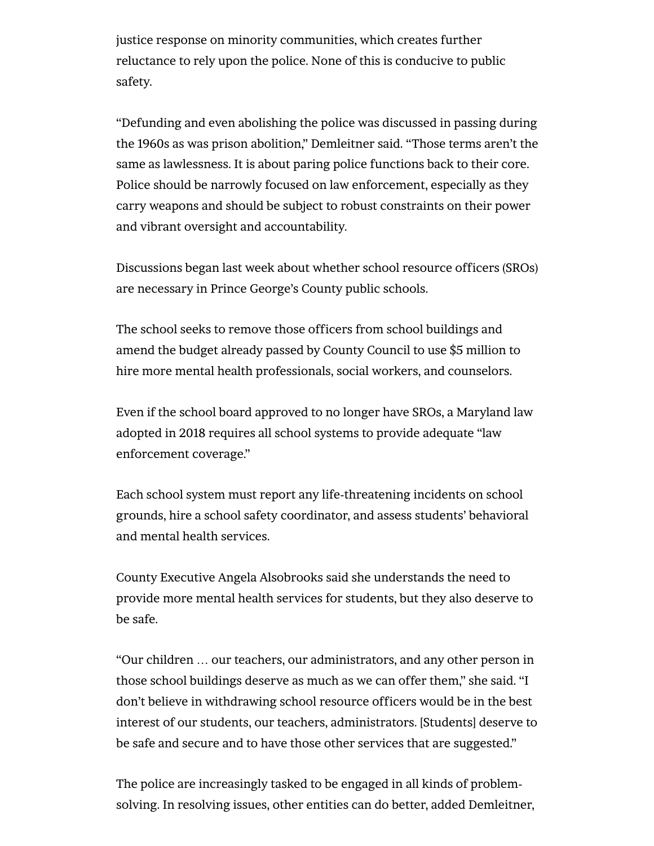justice response on minority communities, which creates further reluctance to rely upon the police. None of this is conducive to public safety.

"Defunding and even abolishing the police was discussed in passing during the 1960s as was prison abolition," Demleitner said. "Those terms aren't the same as lawlessness. It is about paring police functions back to their core. Police should be narrowly focused on law enforcement, especially as they carry weapons and should be subject to robust constraints on their power and vibrant oversight and accountability.

Discussions began last week about whether school resource officers (SROs) are necessary in Prince George's County public schools.

The school seeks to remove those officers from school buildings and amend the budget already passed by County Council to use \$5 million to hire more mental health professionals, social workers, and counselors.

Even if the school board approved to no longer have SROs, a Maryland law adopted in 2018 requires all school systems to provide adequate "law enforcement coverage."

Each school system must report any life-threatening incidents on school grounds, hire a school safety coordinator, and assess students' behavioral and mental health services.

County Executive Angela Alsobrooks said she understands the need to provide more mental health services for students, but they also deserve to be safe.

"Our children … our teachers, our administrators, and any other person in those school buildings deserve as much as we can offer them," she said. "I don't believe in withdrawing school resource officers would be in the best interest of our students, our teachers, administrators. [Students] deserve to be safe and secure and to have those other services that are suggested."

The police are increasingly tasked to be engaged in all kinds of problemsolving. In resolving issues, other entities can do better, added Demleitner,